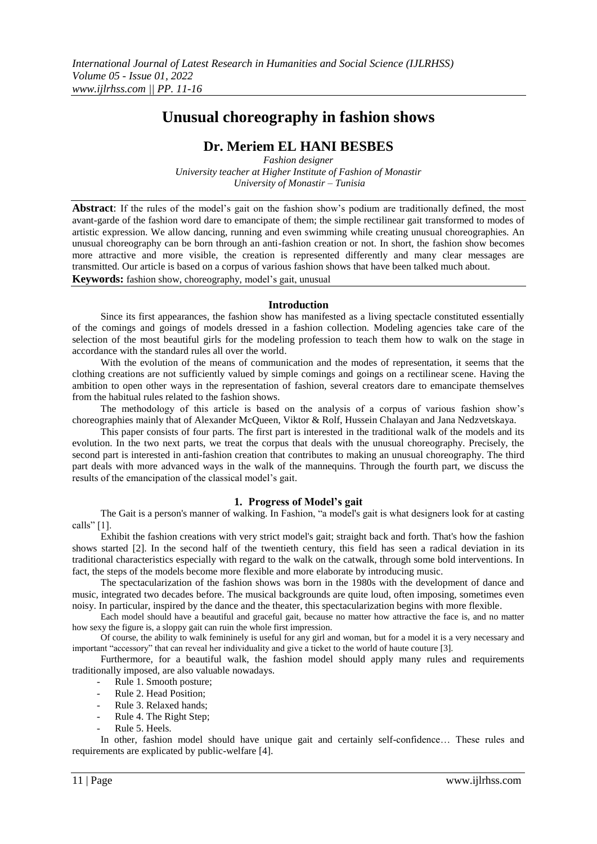# **Unusual choreography in fashion shows**

# **Dr. Meriem EL HANI BESBES**

*Fashion designer University teacher at Higher Institute of Fashion of Monastir University of Monastir – Tunisia*

**Abstract**: If the rules of the model's gait on the fashion show's podium are traditionally defined, the most avant-garde of the fashion word dare to emancipate of them; the simple rectilinear gait transformed to modes of artistic expression. We allow dancing, running and even swimming while creating unusual choreographies. An unusual choreography can be born through an anti-fashion creation or not. In short, the fashion show becomes more attractive and more visible, the creation is represented differently and many clear messages are transmitted. Our article is based on a corpus of various fashion shows that have been talked much about. **Keywords:** fashion show, choreography, model's gait, unusual

### **Introduction**

Since its first appearances, the fashion show has manifested as a living spectacle constituted essentially of the comings and goings of models dressed in a fashion collection. Modeling agencies take care of the selection of the most beautiful girls for the modeling profession to teach them how to walk on the stage in accordance with the standard rules all over the world.

With the evolution of the means of communication and the modes of representation, it seems that the clothing creations are not sufficiently valued by simple comings and goings on a rectilinear scene. Having the ambition to open other ways in the representation of fashion, several creators dare to emancipate themselves from the habitual rules related to the fashion shows.

The methodology of this article is based on the analysis of a corpus of various fashion show's choreographies mainly that of Alexander McQueen, Viktor & Rolf, Hussein Chalayan and Jana Nedzvetskaya.

This paper consists of four parts. The first part is interested in the traditional walk of the models and its evolution. In the two next parts, we treat the corpus that deals with the unusual choreography. Precisely, the second part is interested in anti-fashion creation that contributes to making an unusual choreography. The third part deals with more advanced ways in the walk of the mannequins. Through the fourth part, we discuss the results of the emancipation of the classical model's gait.

### **1. Progress of Model's gait**

The Gait is a person's manner of walking. In Fashion, "a model's gait is what designers look for at casting calls" [1].

Exhibit the fashion creations with very strict model's gait; straight back and forth. That's how the fashion shows started [2]. In the second half of the twentieth century, this field has seen a radical deviation in its traditional characteristics especially with regard to the walk on the catwalk, through some bold interventions. In fact, the steps of the models become more flexible and more elaborate by introducing music.

The spectacularization of the fashion shows was born in the 1980s with the development of dance and music, integrated two decades before. The musical backgrounds are quite loud, often imposing, sometimes even noisy. In particular, inspired by the dance and the theater, this spectacularization begins with more flexible.

Each model should have a beautiful and graceful gait, because no matter how attractive the face is, and no matter how sexy the figure is, a sloppy gait can ruin the whole first impression.

Of course, the ability to walk femininely is useful for any girl and woman, but for a model it is a very necessary and important "accessory" that can reveal her individuality and give a ticket to the world of haute couture [3].

Furthermore, for a beautiful walk, the fashion model should apply many rules and requirements traditionally imposed, are also valuable nowadays.

- Rule 1. Smooth posture;
- Rule 2. Head Position;
- Rule 3. Relaxed hands;
- Rule 4. The Right Step;
- Rule 5. Heels.

In other, fashion model should have unique gait and certainly self-confidence… These rules and requirements are explicated by public-welfare [4].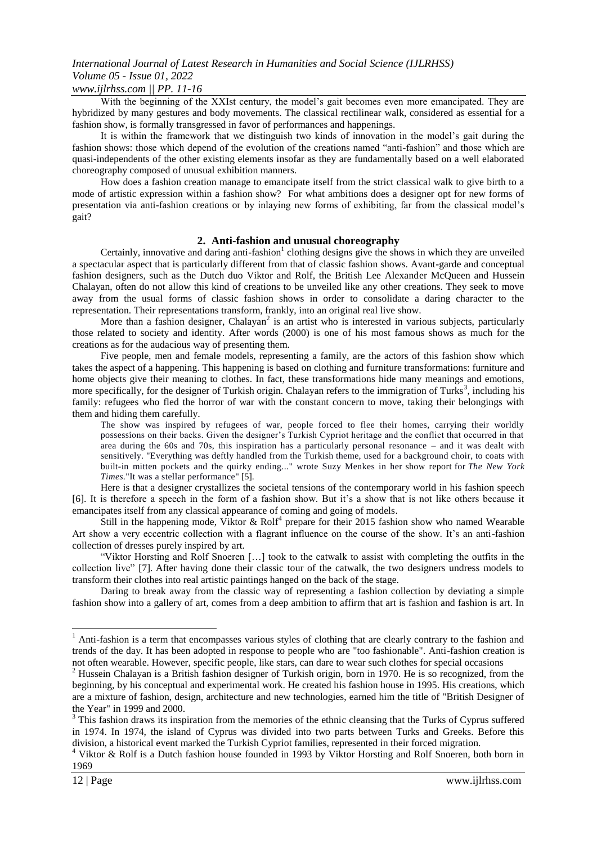# *International Journal of Latest Research in Humanities and Social Science (IJLRHSS) Volume 05 - Issue 01, 2022*

### *www.ijlrhss.com || PP. 11-16*

With the beginning of the XXIst century, the model's gait becomes even more emancipated. They are hybridized by many gestures and body movements. The classical rectilinear walk, considered as essential for a fashion show, is formally transgressed in favor of performances and happenings.

It is within the framework that we distinguish two kinds of innovation in the model's gait during the fashion shows: those which depend of the evolution of the creations named "anti-fashion" and those which are quasi-independents of the other existing elements insofar as they are fundamentally based on a well elaborated choreography composed of unusual exhibition manners.

How does a fashion creation manage to emancipate itself from the strict classical walk to give birth to a mode of artistic expression within a fashion show? For what ambitions does a designer opt for new forms of presentation via anti-fashion creations or by inlaying new forms of exhibiting, far from the classical model's gait?

### **2. Anti-fashion and unusual choreography**

Certainly, innovative and daring anti-fashion $<sup>1</sup>$  clothing designs give the shows in which they are unveiled</sup> a spectacular aspect that is particularly different from that of classic fashion shows. Avant-garde and conceptual fashion designers, such as the Dutch duo Viktor and Rolf, the British Lee Alexander McQueen and Hussein Chalayan, often do not allow this kind of creations to be unveiled like any other creations. They seek to move away from the usual forms of classic fashion shows in order to consolidate a daring character to the representation. Their representations transform, frankly, into an original real live show.

More than a fashion designer, Chalayan<sup>2</sup> is an artist who is interested in various subjects, particularly those related to society and identity. After words (2000) is one of his most famous shows as much for the creations as for the audacious way of presenting them.

Five people, men and female models, representing a family, are the actors of this fashion show which takes the aspect of a happening. This happening is based on clothing and furniture transformations: furniture and home objects give their meaning to clothes. In fact, these transformations hide many meanings and emotions, more specifically, for the designer of Turkish origin. Chalayan refers to the immigration of Turks<sup>3</sup>, including his family: refugees who fled the horror of war with the constant concern to move, taking their belongings with them and hiding them carefully.

The show was inspired by refugees of war, people forced to flee their homes, carrying their worldly possessions on their backs. Given the designer's Turkish Cypriot heritage and the conflict that occurred in that area during the 60s and 70s, this inspiration has a particularly personal resonance – and it was dealt with sensitively. "Everything was deftly handled from the Turkish theme, used for a background choir, to coats with built-in mitten pockets and the quirky ending..." wrote Suzy Menkes in her show report for *The New York Times*."It was a stellar performance" [5].

Here is that a designer crystallizes the societal tensions of the contemporary world in his fashion speech [6]. It is therefore a speech in the form of a fashion show. But it's a show that is not like others because it emancipates itself from any classical appearance of coming and going of models.

Still in the happening mode, Viktor & Rolf<sup>4</sup> prepare for their 2015 fashion show who named Wearable Art show a very eccentric collection with a flagrant influence on the course of the show. It's an anti-fashion collection of dresses purely inspired by art.

"Viktor Horsting and Rolf Snoeren […] took to the catwalk to assist with completing the outfits in the collection live" [7]. After having done their classic tour of the catwalk, the two designers undress models to transform their clothes into real artistic paintings hanged on the back of the stage.

Daring to break away from the classic way of representing a fashion collection by deviating a simple fashion show into a gallery of art, comes from a deep ambition to affirm that art is fashion and fashion is art. In

1

<sup>&</sup>lt;sup>1</sup> Anti-fashion is a term that encompasses various styles of clothing that are clearly contrary to the fashion and trends of the day. It has been adopted in response to people who are "too fashionable". Anti-fashion creation is not often wearable. However, specific people, like stars, can dare to wear such clothes for special occasions

<sup>&</sup>lt;sup>2</sup> Hussein Chalayan is a British fashion designer of Turkish origin, born in 1970. He is so recognized, from the beginning, by his conceptual and experimental work. He created his fashion house in 1995. His creations, which are a mixture of fashion, design, architecture and new technologies, earned him the title of "British Designer of the Year" in 1999 and 2000.

<sup>&</sup>lt;sup>3</sup> This fashion draws its inspiration from the memories of the ethnic cleansing that the Turks of Cyprus suffered in 1974. In 1974, the island of Cyprus was divided into two parts between Turks and Greeks. Before this division, a historical event marked the Turkish Cypriot families, represented in their forced migration.

<sup>4</sup> Viktor & Rolf is a Dutch fashion house founded in 1993 by Viktor Horsting and Rolf Snoeren, both born in 1969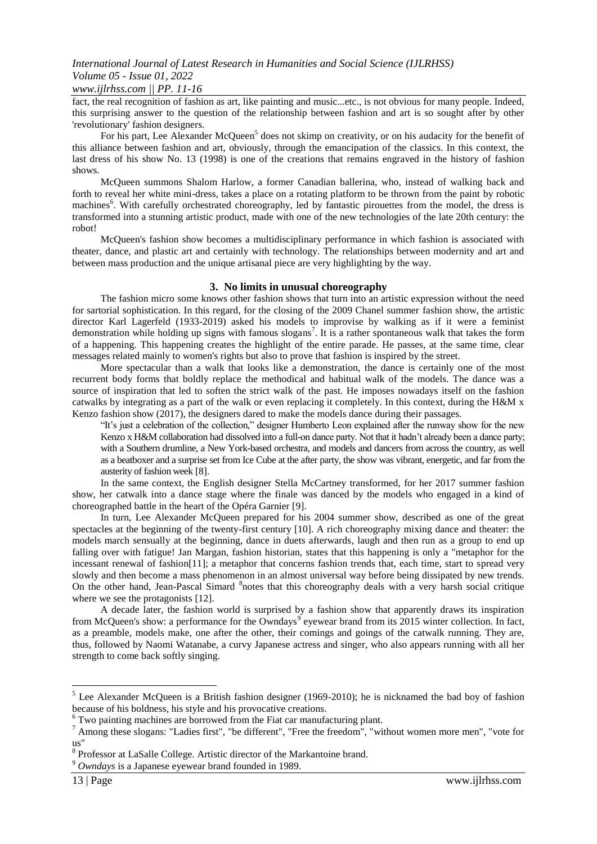### *www.ijlrhss.com || PP. 11-16*

fact, the real recognition of fashion as art, like painting and music...etc., is not obvious for many people. Indeed, this surprising answer to the question of the relationship between fashion and art is so sought after by other 'revolutionary' fashion designers.

For his part, Lee Alexander McQueen<sup>5</sup> does not skimp on creativity, or on his audacity for the benefit of this alliance between fashion and art, obviously, through the emancipation of the classics. In this context, the last dress of his show No. 13 (1998) is one of the creations that remains engraved in the history of fashion shows.

McQueen summons Shalom Harlow, a former Canadian ballerina, who, instead of walking back and forth to reveal her white mini-dress, takes a place on a rotating platform to be thrown from the paint by robotic machines<sup>6</sup>. With carefully orchestrated choreography, led by fantastic pirouettes from the model, the dress is transformed into a stunning artistic product, made with one of the new technologies of the late 20th century: the robot!

McQueen's fashion show becomes a multidisciplinary performance in which fashion is associated with theater, dance, and plastic art and certainly with technology. The relationships between modernity and art and between mass production and the unique artisanal piece are very highlighting by the way.

#### **3. No limits in unusual choreography**

The fashion micro some knows other fashion shows that turn into an artistic expression without the need for sartorial sophistication. In this regard, for the closing of the 2009 Chanel summer fashion show, the artistic director Karl Lagerfeld (1933-2019) asked his models to improvise by walking as if it were a feminist demonstration while holding up signs with famous slogans<sup>7</sup>. It is a rather spontaneous walk that takes the form of a happening. This happening creates the highlight of the entire parade. He passes, at the same time, clear messages related mainly to women's rights but also to prove that fashion is inspired by the street.

More spectacular than a walk that looks like a demonstration, the dance is certainly one of the most recurrent body forms that boldly replace the methodical and habitual walk of the models. The dance was a source of inspiration that led to soften the strict walk of the past. He imposes nowadays itself on the fashion catwalks by integrating as a part of the walk or even replacing it completely. In this context, during the H&M x Kenzo fashion show (2017), the designers dared to make the models dance during their passages.

"It's just a celebration of the collection," designer Humberto Leon explained after the runway show for the new Kenzo x H&M collaboration had dissolved into a full-on dance party. Not that it hadn't already been a dance party; with a Southern drumline, a New York-based orchestra, and models and dancers from across the country, as well as a beatboxer and a surprise set from Ice Cube at the after party, the show was vibrant, energetic, and far from the austerity of fashion week [8].

In the same context, the English designer Stella McCartney transformed, for her 2017 summer fashion show, her catwalk into a dance stage where the finale was danced by the models who engaged in a kind of choreographed battle in the heart of the Opéra Garnier [9].

In turn, Lee Alexander McQueen prepared for his 2004 summer show, described as one of the great spectacles at the beginning of the twenty-first century [10]. A rich choreography mixing dance and theater: the models march sensually at the beginning, dance in duets afterwards, laugh and then run as a group to end up falling over with fatigue! Jan Margan, fashion historian, states that this happening is only a "metaphor for the incessant renewal of fashion[11]; a metaphor that concerns fashion trends that, each time, start to spread very slowly and then become a mass phenomenon in an almost universal way before being dissipated by new trends. On the other hand, Jean-Pascal Simard <sup>8</sup>notes that this choreography deals with a very harsh social critique where we see the protagonists [12].

A decade later, the fashion world is surprised by a fashion show that apparently draws its inspiration from McQueen's show: a performance for the Owndays<sup>9</sup> eyewear brand from its 2015 winter collection. In fact, as a preamble, models make, one after the other, their comings and goings of the catwalk running. They are, thus, followed by Naomi Watanabe, a curvy Japanese actress and singer, who also appears running with all her strength to come back softly singing.

**.** 

<sup>&</sup>lt;sup>5</sup> Lee Alexander McQueen is a British fashion designer (1969-2010); he is nicknamed the bad boy of fashion because of his boldness, his style and his provocative creations.

<sup>&</sup>lt;sup>6</sup> Two painting machines are borrowed from the Fiat car manufacturing plant.

<sup>7</sup> Among these slogans: "Ladies first", "be different", "Free the freedom", "without women more men", "vote for us"

<sup>8</sup> Professor at LaSalle College. Artistic director of the Markantoine brand.

<sup>9</sup> *Owndays* is a Japanese eyewear brand founded in 1989.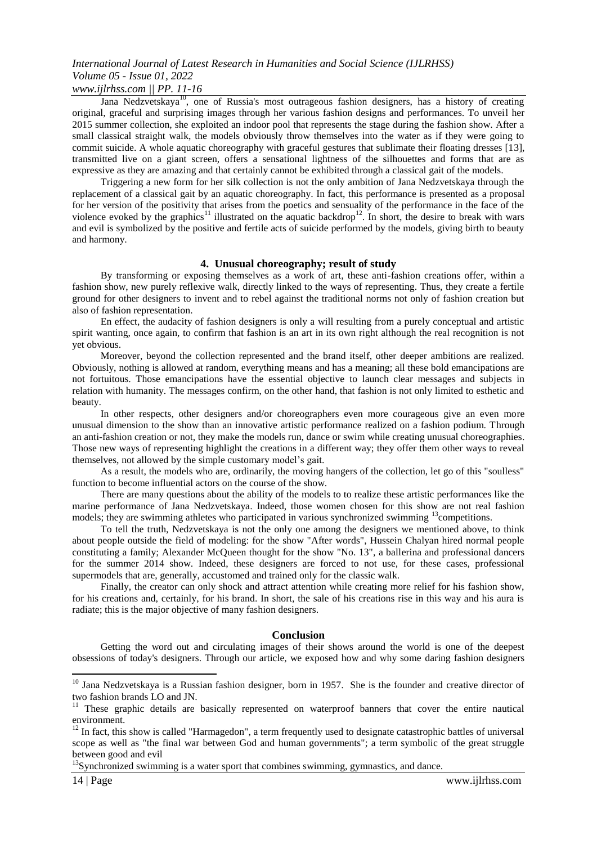# *International Journal of Latest Research in Humanities and Social Science (IJLRHSS) Volume 05 - Issue 01, 2022*

### *www.ijlrhss.com || PP. 11-16*

Jana Nedzvetskaya<sup>10</sup>, one of Russia's most outrageous fashion designers, has a history of creating original, graceful and surprising images through her various fashion designs and performances. To unveil her 2015 summer collection, she exploited an indoor pool that represents the stage during the fashion show. After a small classical straight walk, the models obviously throw themselves into the water as if they were going to commit suicide. A whole aquatic choreography with graceful gestures that sublimate their floating dresses [13], transmitted live on a giant screen, offers a sensational lightness of the silhouettes and forms that are as expressive as they are amazing and that certainly cannot be exhibited through a classical gait of the models.

Triggering a new form for her silk collection is not the only ambition of Jana Nedzvetskaya through the replacement of a classical gait by an aquatic choreography. In fact, this performance is presented as a proposal for her version of the positivity that arises from the poetics and sensuality of the performance in the face of the violence evoked by the graphics<sup>11</sup> illustrated on the aquatic backdrop<sup>12</sup>. In short, the desire to break with wars and evil is symbolized by the positive and fertile acts of suicide performed by the models, giving birth to beauty and harmony.

#### **4. Unusual choreography; result of study**

By transforming or exposing themselves as a work of art, these anti-fashion creations offer, within a fashion show, new purely reflexive walk, directly linked to the ways of representing. Thus, they create a fertile ground for other designers to invent and to rebel against the traditional norms not only of fashion creation but also of fashion representation.

En effect, the audacity of fashion designers is only a will resulting from a purely conceptual and artistic spirit wanting, once again, to confirm that fashion is an art in its own right although the real recognition is not yet obvious.

Moreover, beyond the collection represented and the brand itself, other deeper ambitions are realized. Obviously, nothing is allowed at random, everything means and has a meaning; all these bold emancipations are not fortuitous. Those emancipations have the essential objective to launch clear messages and subjects in relation with humanity. The messages confirm, on the other hand, that fashion is not only limited to esthetic and beauty.

In other respects, other designers and/or choreographers even more courageous give an even more unusual dimension to the show than an innovative artistic performance realized on a fashion podium. Through an anti-fashion creation or not, they make the models run, dance or swim while creating unusual choreographies. Those new ways of representing highlight the creations in a different way; they offer them other ways to reveal themselves, not allowed by the simple customary model's gait.

As a result, the models who are, ordinarily, the moving hangers of the collection, let go of this "soulless" function to become influential actors on the course of the show.

There are many questions about the ability of the models to to realize these artistic performances like the marine performance of Jana Nedzvetskaya. Indeed, those women chosen for this show are not real fashion models; they are swimming athletes who participated in various synchronized swimming <sup>13</sup>competitions.

To tell the truth, Nedzvetskaya is not the only one among the designers we mentioned above, to think about people outside the field of modeling: for the show "After words", Hussein Chalyan hired normal people constituting a family; Alexander McQueen thought for the show "No. 13", a ballerina and professional dancers for the summer 2014 show. Indeed, these designers are forced to not use, for these cases, professional supermodels that are, generally, accustomed and trained only for the classic walk.

Finally, the creator can only shock and attract attention while creating more relief for his fashion show, for his creations and, certainly, for his brand. In short, the sale of his creations rise in this way and his aura is radiate; this is the major objective of many fashion designers.

#### **Conclusion**

Getting the word out and circulating images of their shows around the world is one of the deepest obsessions of today's designers. Through our article, we exposed how and why some daring fashion designers

**.** 

<sup>&</sup>lt;sup>10</sup> Jana Nedzvetskaya is a Russian fashion designer, born in 1957. She is the founder and creative director of two fashion brands LO and JN.

<sup>&</sup>lt;sup>11</sup> These graphic details are basically represented on waterproof banners that cover the entire nautical environment.

 $12$  In fact, this show is called "Harmagedon", a term frequently used to designate catastrophic battles of universal scope as well as "the final war between God and human governments"; a term symbolic of the great struggle between good and evil

<sup>&</sup>lt;sup>13</sup>Synchronized swimming is a water sport that combines swimming, gymnastics, and dance.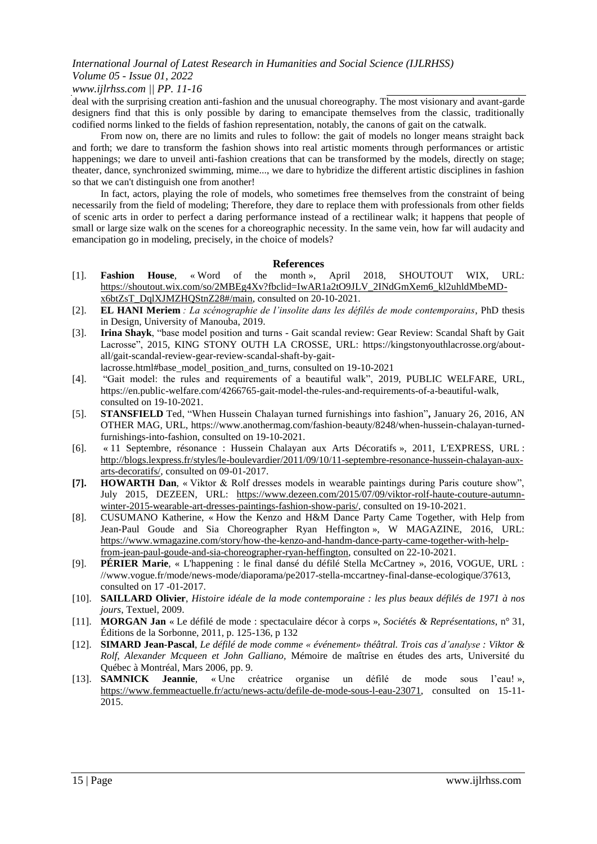## *International Journal of Latest Research in Humanities and Social Science (IJLRHSS) Volume 05 - Issue 01, 2022*

### *www.ijlrhss.com || PP. 11-16*

deal with the surprising creation anti-fashion and the unusual choreography. The most visionary and avant-garde designers find that this is only possible by daring to emancipate themselves from the classic, traditionally codified norms linked to the fields of fashion representation, notably, the canons of gait on the catwalk.

From now on, there are no limits and rules to follow: the gait of models no longer means straight back and forth; we dare to transform the fashion shows into real artistic moments through performances or artistic happenings; we dare to unveil anti-fashion creations that can be transformed by the models, directly on stage; theater, dance, synchronized swimming, mime..., we dare to hybridize the different artistic disciplines in fashion so that we can't distinguish one from another!

In fact, actors, playing the role of models, who sometimes free themselves from the constraint of being necessarily from the field of modeling; Therefore, they dare to replace them with professionals from other fields of scenic arts in order to perfect a daring performance instead of a rectilinear walk; it happens that people of small or large size walk on the scenes for a choreographic necessity. In the same vein, how far will audacity and emancipation go in modeling, precisely, in the choice of models?

#### **References**

- [1]. **Fashion House**, « Word of the month », April 2018, SHOUTOUT WIX, URL: [https://shoutout.wix.com/so/2MBEg4Xv?fbclid=IwAR1a2tO9JLV\\_2INdGmXem6\\_kl2uhldMbeMD](https://shoutout.wix.com/so/2MBEg4Xv?fbclid=IwAR1a2tO9JLV_2INdGmXem6_kl2uhldMbeMD-x6btZsT_DqlXJMZHQStnZ28#/main)[x6btZsT\\_DqlXJMZHQStnZ28#/main,](https://shoutout.wix.com/so/2MBEg4Xv?fbclid=IwAR1a2tO9JLV_2INdGmXem6_kl2uhldMbeMD-x6btZsT_DqlXJMZHQStnZ28#/main) consulted on 20-10-2021.
- [2]. **EL HANI Meriem** *: La scénographie de l'insolite dans les défilés de mode contemporains*, PhD thesis in Design, University of Manouba, 2019.
- [3]. **Irina Shayk**, "base model position and turns Gait scandal review: Gear Review: Scandal Shaft by Gait Lacrosse", 2015, KING STONY OUTH LA CROSSE, URL: https://kingstonyouthlacrosse.org/aboutall/gait-scandal-review-gear-review-scandal-shaft-by-gaitlacrosse.html#base\_model\_position\_and\_turns, consulted on 19-10-2021
- [4]. "Gait model: the rules and requirements of a beautiful walk", 2019, PUBLIC WELFARE, URL, https://en.public-welfare.com/4266765-gait-model-the-rules-and-requirements-of-a-beautiful-walk, consulted on 19-10-2021.
- [5]. **STANSFIELD** Ted, "When Hussein Chalayan turned furnishings into fashion"**,** January 26, 2016, AN OTHER MAG, URL, https://www.anothermag.com/fashion-beauty/8248/when-hussein-chalayan-turnedfurnishings-into-fashion, consulted on 19-10-2021.
- [6]. « 11 Septembre, résonance : Hussein Chalayan aux Arts Décoratifs », 2011, L'EXPRESS, URL : [http://blogs.lexpress.fr/styles/le-boulevardier/2011/09/10/11-septembre-resonance-hussein-chalayan-aux](http://blogs.lexpress.fr/styles/le-boulevardier/2011/09/10/11-septembre-resonance-hussein-chalayan-aux-arts-decoratifs/)[arts-decoratifs/,](http://blogs.lexpress.fr/styles/le-boulevardier/2011/09/10/11-septembre-resonance-hussein-chalayan-aux-arts-decoratifs/) consulted on 09-01-2017.
- **[7]. HOWARTH Dan**, « Viktor & Rolf dresses models in wearable paintings during Paris couture show", July 2015, DEZEEN, URL: [https://www.dezeen.com/2015/07/09/viktor-rolf-haute-couture-autumn](https://www.dezeen.com/2015/07/09/viktor-rolf-haute-couture-autumn-winter-2015-wearable-art-dresses-paintings-fashion-show-paris/)[winter-2015-wearable-art-dresses-paintings-fashion-show-paris/,](https://www.dezeen.com/2015/07/09/viktor-rolf-haute-couture-autumn-winter-2015-wearable-art-dresses-paintings-fashion-show-paris/) consulted on 19-10-2021.
- [8]. CUSUMANO Katherine, « How the Kenzo and H&M Dance Party Came Together, with Help from Jean-Paul Goude and Sia Choreographer Ryan Heffington », W MAGAZINE, 2016, URL: [https://www.wmagazine.com/story/how-the-kenzo-and-handm-dance-party-came-together-with-help](https://www.wmagazine.com/story/how-the-kenzo-and-handm-dance-party-came-together-with-help-from-jean-paul-goude-and-sia-choreographer-ryan-heffington)[from-jean-paul-goude-and-sia-choreographer-ryan-heffington,](https://www.wmagazine.com/story/how-the-kenzo-and-handm-dance-party-came-together-with-help-from-jean-paul-goude-and-sia-choreographer-ryan-heffington) consulted on 22-10-2021.
- [9]. **PÉRIER Marie**, « L'happening : le final dansé du défilé Stella McCartney », 2016, VOGUE, URL : //www.vogue.fr/mode/news-mode/diaporama/pe2017-stella-mccartney-final-danse-ecologique/37613, consulted on 17 -01-2017.
- [10]. **SAILLARD Olivier**, *Histoire idéale de la mode contemporaine : les plus beaux défilés de 1971 à nos jours*, Textuel, 2009.
- [11]. **MORGAN Jan** « Le défilé de mode : spectaculaire décor à corps », *Sociétés & Représentations*, n° 31, Éditions de la Sorbonne, 2011, p. 125-136, p 132
- [12]. **SIMARD Jean-Pascal**, *Le défilé de mode comme « événement» théâtral. Trois cas d'analyse : Viktor & Rolf, Alexander Mcqueen et John Galliano,* Mémoire de maîtrise en études des arts, Université du Québec à Montréal, Mars 2006, pp. 9.
- [13]. **SAMNICK Jeannie**, « Une créatrice organise un défilé de mode sous l'eau! », [https://www.femmeactuelle.fr/actu/news-actu/defile-de-mode-sous-l-eau-23071,](https://www.femmeactuelle.fr/actu/news-actu/defile-de-mode-sous-l-eau-23071) consulted on 15-11- 2015.